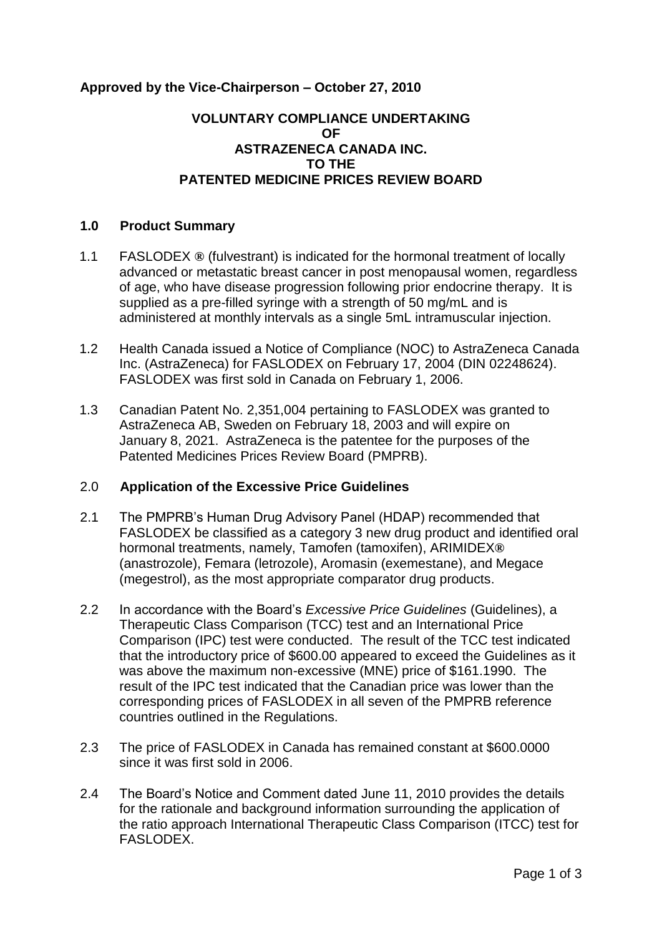# **Approved by the Vice-Chairperson – October 27, 2010**

## **VOLUNTARY COMPLIANCE UNDERTAKING OF ASTRAZENECA CANADA INC. TO THE PATENTED MEDICINE PRICES REVIEW BOARD**

### **1.0 Product Summary**

- 1.1 FASLODEX **®** (fulvestrant) is indicated for the hormonal treatment of locally advanced or metastatic breast cancer in post menopausal women, regardless of age, who have disease progression following prior endocrine therapy. It is supplied as a pre-filled syringe with a strength of 50 mg/mL and is administered at monthly intervals as a single 5mL intramuscular injection.
- 1.2 Health Canada issued a Notice of Compliance (NOC) to AstraZeneca Canada Inc. (AstraZeneca) for FASLODEX on February 17, 2004 (DIN 02248624). FASLODEX was first sold in Canada on February 1, 2006.
- 1.3 Canadian Patent No. 2,351,004 pertaining to FASLODEX was granted to AstraZeneca AB, Sweden on February 18, 2003 and will expire on January 8, 2021. AstraZeneca is the patentee for the purposes of the Patented Medicines Prices Review Board (PMPRB).

#### 2.0 **Application of the Excessive Price Guidelines**

- 2.1 The PMPRB's Human Drug Advisory Panel (HDAP) recommended that FASLODEX be classified as a category 3 new drug product and identified oral hormonal treatments, namely, Tamofen (tamoxifen), ARIMIDEX**®** (anastrozole), Femara (letrozole), Aromasin (exemestane), and Megace (megestrol), as the most appropriate comparator drug products.
- 2.2 In accordance with the Board's *Excessive Price Guidelines* (Guidelines), a Therapeutic Class Comparison (TCC) test and an International Price Comparison (IPC) test were conducted. The result of the TCC test indicated that the introductory price of \$600.00 appeared to exceed the Guidelines as it was above the maximum non-excessive (MNE) price of \$161.1990. The result of the IPC test indicated that the Canadian price was lower than the corresponding prices of FASLODEX in all seven of the PMPRB reference countries outlined in the Regulations.
- 2.3 The price of FASLODEX in Canada has remained constant at \$600.0000 since it was first sold in 2006.
- 2.4 The Board's Notice and Comment dated June 11, 2010 provides the details for the rationale and background information surrounding the application of the ratio approach International Therapeutic Class Comparison (ITCC) test for FASLODEX.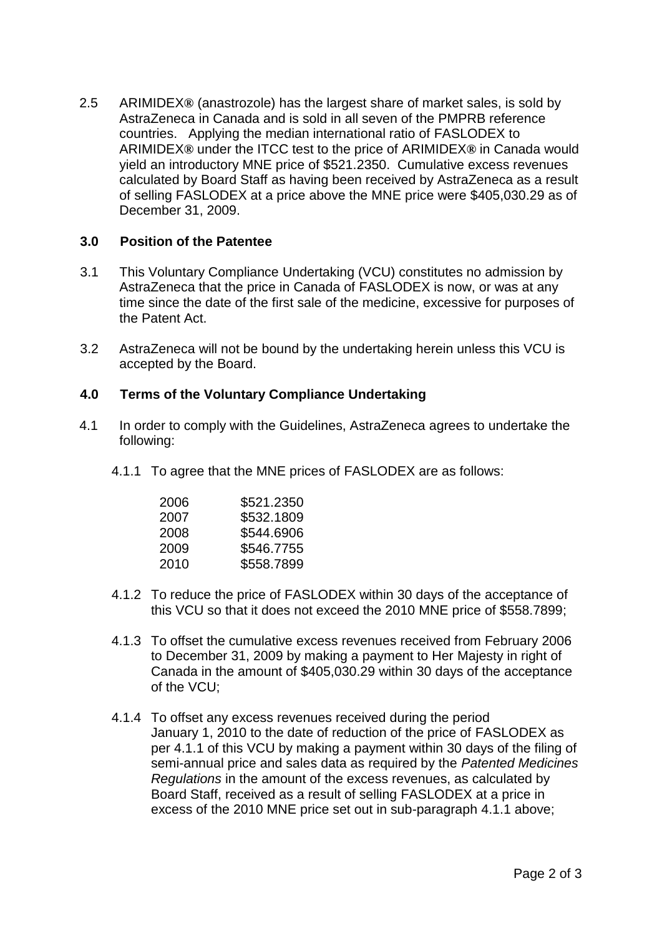2.5 ARIMIDEX**®** (anastrozole) has the largest share of market sales, is sold by AstraZeneca in Canada and is sold in all seven of the PMPRB reference countries. Applying the median international ratio of FASLODEX to ARIMIDEX**®** under the ITCC test to the price of ARIMIDEX**®** in Canada would yield an introductory MNE price of \$521.2350. Cumulative excess revenues calculated by Board Staff as having been received by AstraZeneca as a result of selling FASLODEX at a price above the MNE price were \$405,030.29 as of December 31, 2009.

# **3.0 Position of the Patentee**

- 3.1 This Voluntary Compliance Undertaking (VCU) constitutes no admission by AstraZeneca that the price in Canada of FASLODEX is now, or was at any time since the date of the first sale of the medicine, excessive for purposes of the Patent Act.
- 3.2 AstraZeneca will not be bound by the undertaking herein unless this VCU is accepted by the Board.

# **4.0 Terms of the Voluntary Compliance Undertaking**

- 4.1 In order to comply with the Guidelines, AstraZeneca agrees to undertake the following:
	- 4.1.1 To agree that the MNE prices of FASLODEX are as follows:

| 2006 | \$521.2350 |
|------|------------|
| 2007 | \$532.1809 |
| 2008 | \$544.6906 |
| 2009 | \$546.7755 |
| 2010 | \$558.7899 |

- 4.1.2 To reduce the price of FASLODEX within 30 days of the acceptance of this VCU so that it does not exceed the 2010 MNE price of \$558.7899;
- 4.1.3 To offset the cumulative excess revenues received from February 2006 to December 31, 2009 by making a payment to Her Majesty in right of Canada in the amount of \$405,030.29 within 30 days of the acceptance of the VCU;
- 4.1.4 To offset any excess revenues received during the period January 1, 2010 to the date of reduction of the price of FASLODEX as per 4.1.1 of this VCU by making a payment within 30 days of the filing of semi-annual price and sales data as required by the *Patented Medicines Regulations* in the amount of the excess revenues, as calculated by Board Staff, received as a result of selling FASLODEX at a price in excess of the 2010 MNE price set out in sub-paragraph 4.1.1 above;